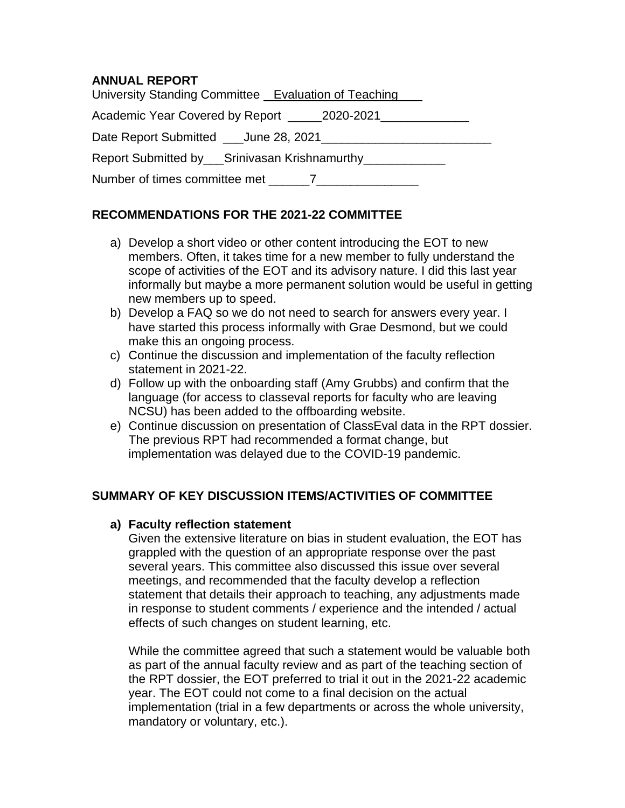## **ANNUAL REPORT**

| University Standing Committee Evaluation of Teaching |
|------------------------------------------------------|
| Academic Year Covered by Report 2020-2021            |
|                                                      |
| Report Submitted by Srinivasan Krishnamurthy         |
| Number of times committee met 7                      |

## **RECOMMENDATIONS FOR THE 2021-22 COMMITTEE**

- a) Develop a short video or other content introducing the EOT to new members. Often, it takes time for a new member to fully understand the scope of activities of the EOT and its advisory nature. I did this last year informally but maybe a more permanent solution would be useful in getting new members up to speed.
- b) Develop a FAQ so we do not need to search for answers every year. I have started this process informally with Grae Desmond, but we could make this an ongoing process.
- c) Continue the discussion and implementation of the faculty reflection statement in 2021-22.
- d) Follow up with the onboarding staff (Amy Grubbs) and confirm that the language (for access to classeval reports for faculty who are leaving NCSU) has been added to the offboarding website.
- e) Continue discussion on presentation of ClassEval data in the RPT dossier. The previous RPT had recommended a format change, but implementation was delayed due to the COVID-19 pandemic.

# **SUMMARY OF KEY DISCUSSION ITEMS/ACTIVITIES OF COMMITTEE**

## **a) Faculty reflection statement**

Given the extensive literature on bias in student evaluation, the EOT has grappled with the question of an appropriate response over the past several years. This committee also discussed this issue over several meetings, and recommended that the faculty develop a reflection statement that details their approach to teaching, any adjustments made in response to student comments / experience and the intended / actual effects of such changes on student learning, etc.

While the committee agreed that such a statement would be valuable both as part of the annual faculty review and as part of the teaching section of the RPT dossier, the EOT preferred to trial it out in the 2021-22 academic year. The EOT could not come to a final decision on the actual implementation (trial in a few departments or across the whole university, mandatory or voluntary, etc.).